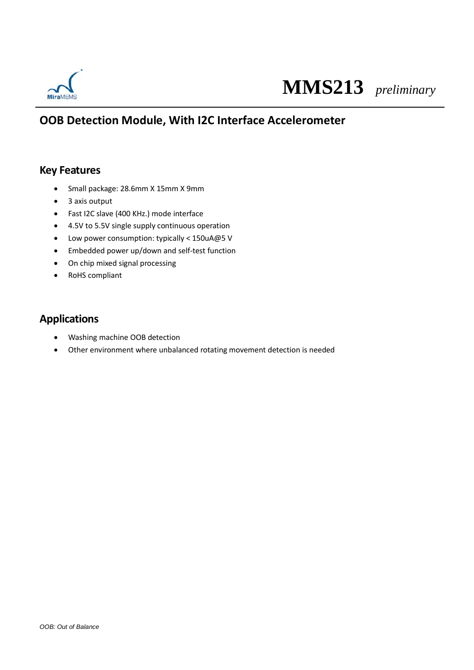

# **MMS213** *preliminary*

### **OOB Detection Module, With I2C Interface Accelerometer**

#### **Key Features**

- Small package: 28.6mm X 15mm X 9mm
- 3 axis output
- Fast I2C slave (400 KHz.) mode interface
- 4.5V to 5.5V single supply continuous operation
- Low power consumption: typically < 150uA@5 V
- Embedded power up/down and self-test function
- On chip mixed signal processing
- RoHS compliant

#### **Applications**

- Washing machine OOB detection
- Other environment where unbalanced rotating movement detection is needed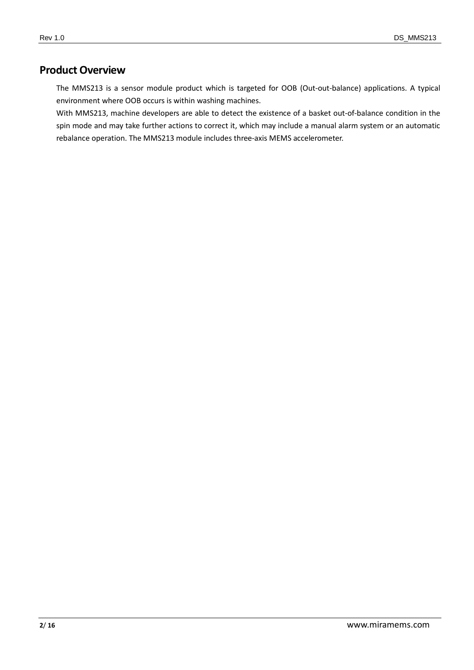#### **Product Overview**

The MMS213 is a sensor module product which is targeted for OOB (Out-out-balance) applications. A typical environment where OOB occurs is within washing machines.

With MMS213, machine developers are able to detect the existence of a basket out-of-balance condition in the spin mode and may take further actions to correct it, which may include a manual alarm system or an automatic rebalance operation. The MMS213 module includes three-axis MEMS accelerometer.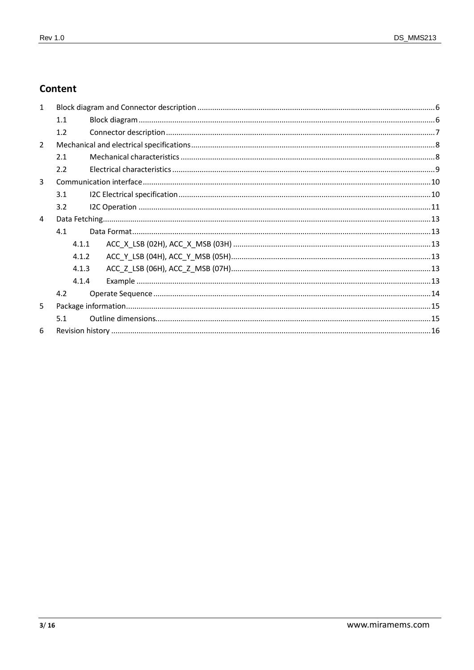#### Content

| $\mathbf{1}$   |       |  |  |  |  |
|----------------|-------|--|--|--|--|
|                | 1.1   |  |  |  |  |
|                | 1.2   |  |  |  |  |
| $\overline{2}$ |       |  |  |  |  |
|                | 2.1   |  |  |  |  |
|                | 2.2   |  |  |  |  |
| $\overline{3}$ |       |  |  |  |  |
|                | 3.1   |  |  |  |  |
|                | 3.2   |  |  |  |  |
| $\overline{4}$ |       |  |  |  |  |
|                | 4.1   |  |  |  |  |
|                | 4.1.1 |  |  |  |  |
|                | 4.1.2 |  |  |  |  |
|                | 4.1.3 |  |  |  |  |
|                | 4.1.4 |  |  |  |  |
|                | 4.2   |  |  |  |  |
| 5              |       |  |  |  |  |
|                | 5.1   |  |  |  |  |
| 6              |       |  |  |  |  |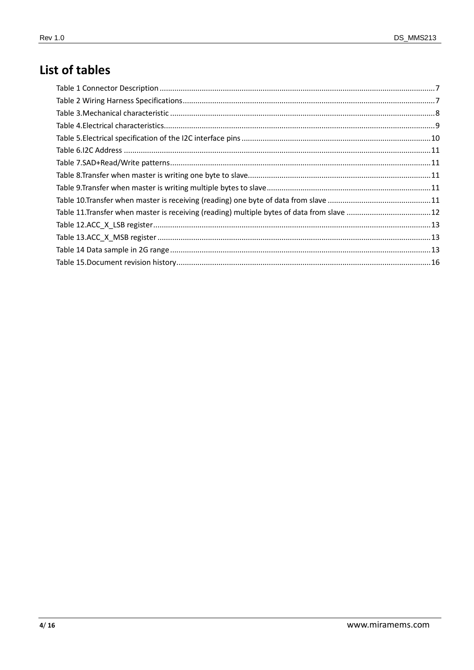## List of tables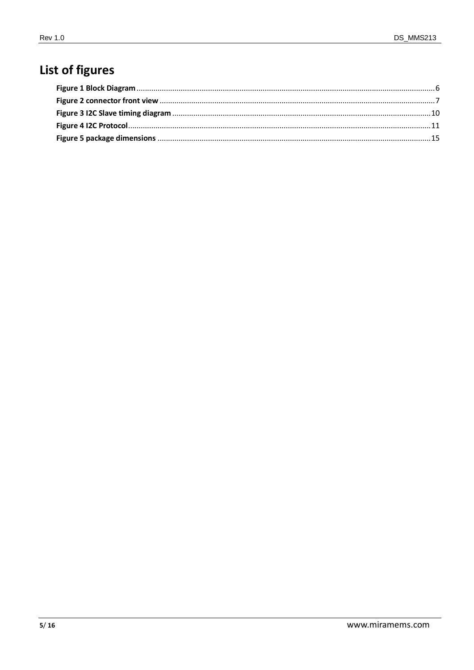## List of figures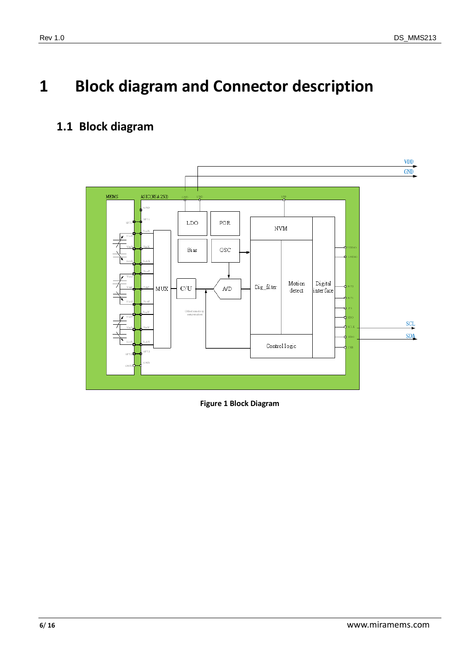# <span id="page-5-0"></span>**1 Block diagram and Connector description**

### <span id="page-5-1"></span>**1.1 Block diagram**



<span id="page-5-2"></span>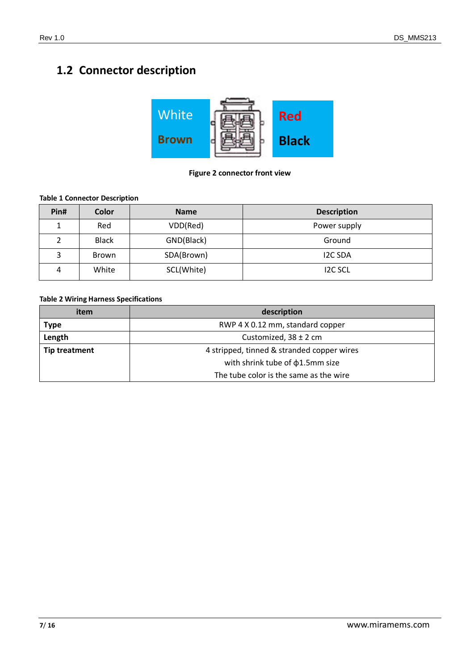## <span id="page-6-0"></span>**1.2 Connector description**



#### **Figure 2 connector front view**

#### <span id="page-6-3"></span><span id="page-6-1"></span>**Table 1 Connector Description**

| Pin# | Color        | <b>Name</b> | <b>Description</b> |
|------|--------------|-------------|--------------------|
|      | Red          | VDD(Red)    | Power supply       |
|      | <b>Black</b> | GND(Black)  | Ground             |
| 3    | Brown        | SDA(Brown)  | <b>I2C SDA</b>     |
| 4    | White        | SCL(White)  | <b>IZC SCL</b>     |

#### <span id="page-6-2"></span>**Table 2 Wiring Harness Specifications**

| item                 | description                                |
|----------------------|--------------------------------------------|
| <b>Type</b>          | RWP 4 X 0.12 mm, standard copper           |
| Length               | Customized, $38 \pm 2$ cm                  |
| <b>Tip treatment</b> | 4 stripped, tinned & stranded copper wires |
|                      | with shrink tube of $\phi$ 1.5mm size      |
|                      | The tube color is the same as the wire     |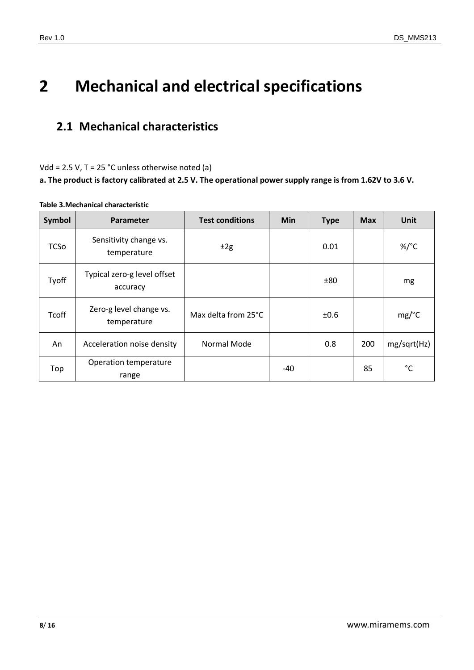## <span id="page-7-0"></span>**2 Mechanical and electrical specifications**

### <span id="page-7-1"></span>**2.1 Mechanical characteristics**

Vdd = 2.5 V, T = 25 °C unless otherwise noted (a)

**a. The product is factory calibrated at 2.5 V. The operational power supply range is from 1.62V to 3.6 V.**

| Symbol       | Parameter                               | <b>Test conditions</b> | <b>Min</b> | <b>Type</b> | <b>Max</b> | Unit            |
|--------------|-----------------------------------------|------------------------|------------|-------------|------------|-----------------|
| <b>TCSo</b>  | Sensitivity change vs.<br>temperature   | ±2g                    |            | 0.01        |            | %/ $^{\circ}$ C |
| Tyoff        | Typical zero-g level offset<br>accuracy |                        |            | ±80         |            | mg              |
| <b>Tcoff</b> | Zero-g level change vs.<br>temperature  | Max delta from 25°C    |            | ±0.6        |            | mg/°C           |
| An           | Acceleration noise density              | Normal Mode            |            | 0.8         | 200        | mg/sqrt(Hz)     |
| Top          | Operation temperature<br>range          |                        | -40        |             | 85         | °C              |

#### <span id="page-7-2"></span>**Table 3.Mechanical characteristic**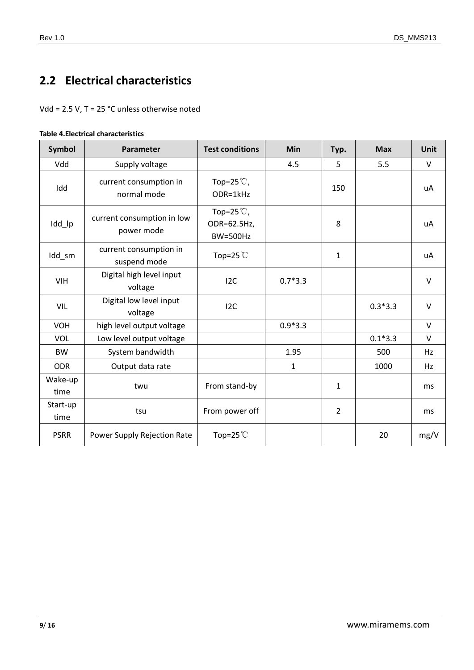## <span id="page-8-0"></span>**2.2 Electrical characteristics**

Vdd = 2.5 V, T = 25 °C unless otherwise noted

<span id="page-8-1"></span>

| <b>Table 4. Electrical characteristics</b> |
|--------------------------------------------|
|--------------------------------------------|

| Symbol           | Parameter                                | <b>Test conditions</b>                                | <b>Min</b> | Typ.           | <b>Max</b> | <b>Unit</b> |
|------------------|------------------------------------------|-------------------------------------------------------|------------|----------------|------------|-------------|
| Vdd              | Supply voltage                           |                                                       | 4.5        | 5              | 5.5        | $\vee$      |
| Idd              | current consumption in<br>normal mode    | Top=25 $°C$ ,<br>ODR=1kHz                             |            | 150            |            | uA          |
| Idd_lp           | current consumption in low<br>power mode | Top=25 $\degree$ C,<br>ODR=62.5Hz,<br><b>BW=500Hz</b> |            | 8              |            | uA          |
| Idd_sm           | current consumption in<br>suspend mode   | Top=25 $°C$                                           |            | $\mathbf{1}$   |            | uA          |
| VIH              | Digital high level input<br>voltage      | 12C                                                   | $0.7*3.3$  |                |            | V           |
| VIL              | Digital low level input<br>voltage       | 12C                                                   |            |                | $0.3*3.3$  | $\vee$      |
| <b>VOH</b>       | high level output voltage                |                                                       | $0.9*3.3$  |                |            | V           |
| <b>VOL</b>       | Low level output voltage                 |                                                       |            |                | $0.1*3.3$  | V           |
| <b>BW</b>        | System bandwidth                         |                                                       | 1.95       |                | 500        | Hz          |
| <b>ODR</b>       | Output data rate                         |                                                       | 1          |                | 1000       | Hz          |
| Wake-up<br>time  | twu                                      | From stand-by                                         |            | 1              |            | ms          |
| Start-up<br>time | tsu                                      | From power off                                        |            | $\overline{2}$ |            | ms          |
| <b>PSRR</b>      | Power Supply Rejection Rate              | Top=25 $°C$                                           |            |                | 20         | mg/V        |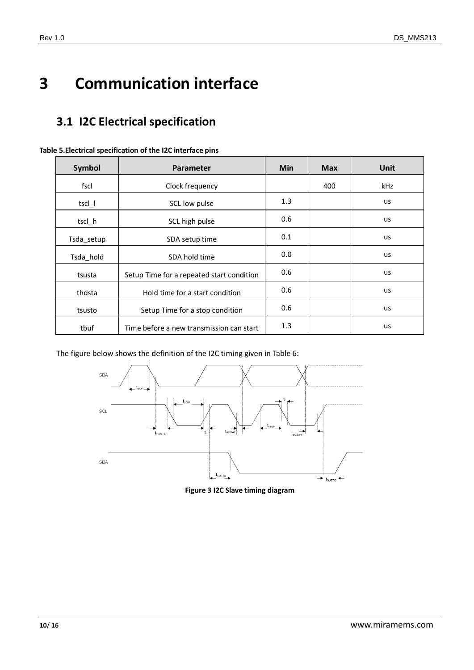# <span id="page-9-0"></span>**3 Communication interface**

## <span id="page-9-1"></span>**3.1 I2C Electrical specification**

| Symbol                                    | <b>Parameter</b>                          | <b>Min</b> | <b>Max</b> | Unit      |
|-------------------------------------------|-------------------------------------------|------------|------------|-----------|
| fscl                                      | Clock frequency                           |            | 400        | kHz       |
| tscl_l                                    | SCL low pulse                             | 1.3        |            | us        |
| tscl h                                    | SCL high pulse                            | 0.6        |            | us        |
| Tsda_setup                                | SDA setup time                            |            |            | us        |
| Tsda_hold                                 | SDA hold time                             | 0.0        |            | us        |
| tsusta                                    | Setup Time for a repeated start condition | 0.6        |            | us        |
| thdsta                                    | Hold time for a start condition           | 0.6        |            | <b>us</b> |
| Setup Time for a stop condition<br>tsusto |                                           | 0.6        |            | us        |
| tbuf                                      | Time before a new transmission can start  | 1.3        |            | <b>us</b> |

<span id="page-9-2"></span>

<span id="page-9-3"></span>The figure below shows the definition of the I2C timing given in Table 6:



**Figure 3 I2C Slave timing diagram**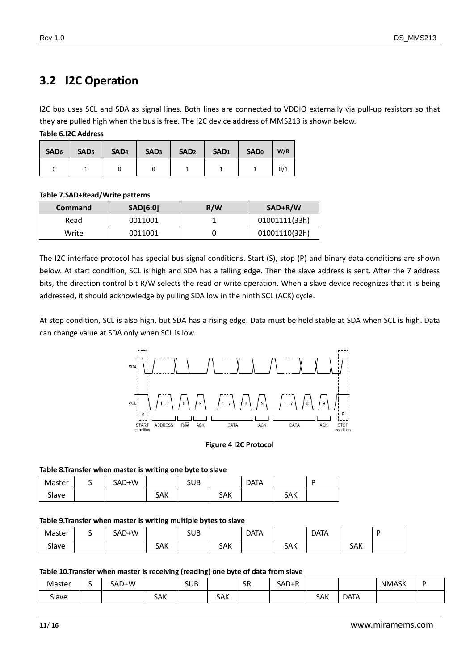### <span id="page-10-0"></span>**3.2 I2C Operation**

I2C bus uses SCL and SDA as signal lines. Both lines are connected to VDDIO externally via pull-up resistors so that they are pulled high when the bus is free. The I2C device address of MMS213 is shown below.

<span id="page-10-1"></span>**Table 6.I2C Address**

| SAD <sub>6</sub>   SAD <sub>5</sub> |  | $\vert$ SAD <sub>4</sub> $\vert$ SAD <sub>3</sub> $\vert$ SAD <sub>2</sub> $\vert$ SAD <sub>1</sub> $\vert$ SAD <sub>0</sub> |  | W/R |
|-------------------------------------|--|------------------------------------------------------------------------------------------------------------------------------|--|-----|
|                                     |  |                                                                                                                              |  | 0/1 |

#### <span id="page-10-2"></span>**Table 7.SAD+Read/Write patterns**

| Command | <b>SAD[6:0]</b> | R/W | SAD+R/W       |
|---------|-----------------|-----|---------------|
| Read    | 0011001         |     | 01001111(33h) |
| Write   | 0011001         |     | 01001110(32h) |

The I2C interface protocol has special bus signal conditions. Start (S), stop (P) and binary data conditions are shown below. At start condition, SCL is high and SDA has a falling edge. Then the slave address is sent. After the 7 address bits, the direction control bit R/W selects the read or write operation. When a slave device recognizes that it is being addressed, it should acknowledge by pulling SDA low in the ninth SCL (ACK) cycle.

At stop condition, SCL is also high, but SDA has a rising edge. Data must be held stable at SDA when SCL is high. Data can change value at SDA only when SCL is low.



#### **Figure 4 I2C Protocol**

#### <span id="page-10-6"></span><span id="page-10-3"></span>**Table 8.Transfer when master is writing one byte to slave**

| Master | ٠ | SAD+W |     | <b>SUB</b> |            | <b>DATA</b> |            | D |
|--------|---|-------|-----|------------|------------|-------------|------------|---|
| Slave  |   |       | SAK |            | <b>SAK</b> |             | <b>SAK</b> |   |

#### <span id="page-10-4"></span>**Table 9.Transfer when master is writing multiple bytes to slave**

| Master | SAD+W |            | <b>SUB</b> |            | <b>DATA</b> |            | <b>DATA</b> |            |  |
|--------|-------|------------|------------|------------|-------------|------------|-------------|------------|--|
| Slave  |       | <b>SAK</b> |            | <b>SAK</b> |             | <b>SAK</b> |             | <b>SAK</b> |  |

#### <span id="page-10-5"></span>**Table 10.Transfer when master is receiving (reading) one byte of data from slave**

| Master       | SAD+W |            | <b>SUB</b> |     | SR | SAD+R |            |             | <b>NMASK</b> |  |
|--------------|-------|------------|------------|-----|----|-------|------------|-------------|--------------|--|
| - 1<br>Slave |       | <b>SAK</b> |            | SAK |    |       | <b>SAK</b> | <b>DATA</b> |              |  |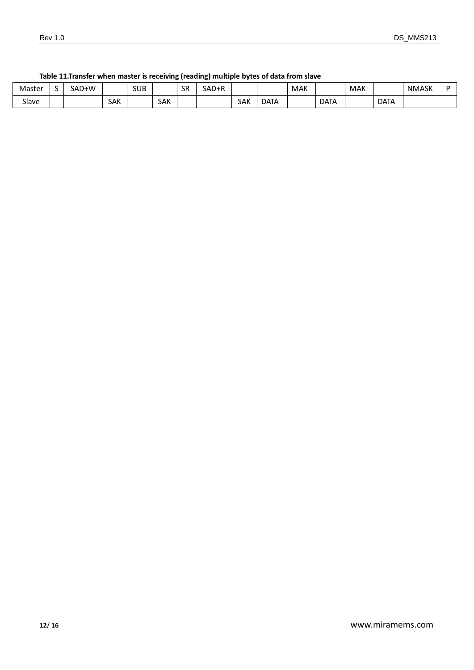| Master | SAD+W |            | SUB |     | SR | SAD+R |     |             | <b>MAK</b> |             | <b>MAK</b> |             | <b>NMASK</b> | - |
|--------|-------|------------|-----|-----|----|-------|-----|-------------|------------|-------------|------------|-------------|--------------|---|
| Slave  |       | <b>SAK</b> |     | SAK |    |       | SAK | <b>DATA</b> |            | <b>DATA</b> |            | <b>DATA</b> |              |   |

#### <span id="page-11-0"></span>**Table 11.Transfer when master is receiving (reading) multiple bytes of data from slave**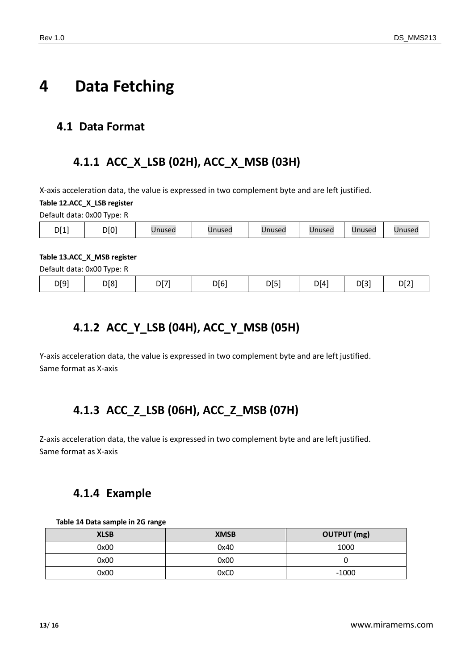## <span id="page-12-0"></span>**4 Data Fetching**

#### <span id="page-12-2"></span><span id="page-12-1"></span>**4.1 Data Format**

### **4.1.1 ACC\_X\_LSB (02H), ACC\_X\_MSB (03H)**

X-axis acceleration data, the value is expressed in two complement byte and are left justified.

<span id="page-12-6"></span>**Table 12.ACC\_X\_LSB register**

Default data: 0x00 Type: R

| DI 11<br>. . | D[0] | Jnused | Unused | Unused | Unused | Unused | Unused |
|--------------|------|--------|--------|--------|--------|--------|--------|
|--------------|------|--------|--------|--------|--------|--------|--------|

#### <span id="page-12-7"></span>**Table 13.ACC\_X\_MSB register**

<span id="page-12-3"></span>

| D[9]<br>D[7]<br>D[8] | D[6] | D[5] | DI <sup>4</sup><br>- | D[3] | D[2 |
|----------------------|------|------|----------------------|------|-----|
|----------------------|------|------|----------------------|------|-----|

### **4.1.2 ACC\_Y\_LSB (04H), ACC\_Y\_MSB (05H)**

<span id="page-12-4"></span>Y-axis acceleration data, the value is expressed in two complement byte and are left justified. Same format as X-axis

### **4.1.3 ACC\_Z\_LSB (06H), ACC\_Z\_MSB (07H)**

<span id="page-12-5"></span>Z-axis acceleration data, the value is expressed in two complement byte and are left justified. Same format as X-axis

### **4.1.4 Example**

<span id="page-12-8"></span>

| Table 14 Data sample in 2G range |  |  |  |  |  |
|----------------------------------|--|--|--|--|--|
|----------------------------------|--|--|--|--|--|

| <b>XLSB</b> | <b>XMSB</b> | <b>OUTPUT</b> (mg) |
|-------------|-------------|--------------------|
| 0x00        | 0x40        | 1000               |
| 0x00        | 0x00        |                    |
| 0x00        | 0xC0        | $-1000$            |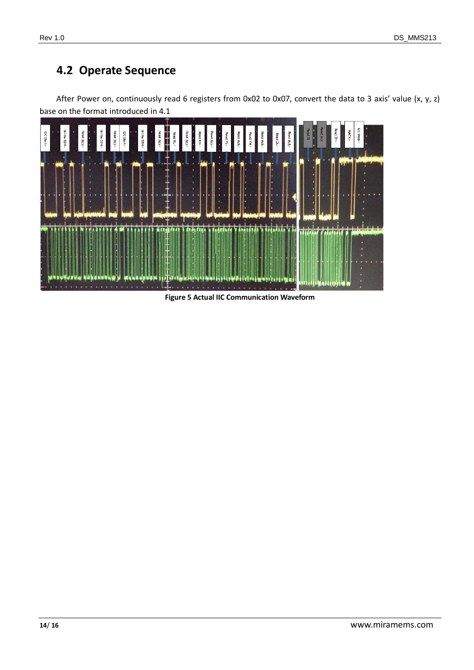### <span id="page-13-0"></span>**4.2 Operate Sequence**



After Power on, continuously read 6 registers from 0x02 to 0x07, convert the data to 3 axis' value (x, y, z) base on the format introduced in [4.1](#page-12-1)

**Figure 5 Actual IIC Communication Waveform**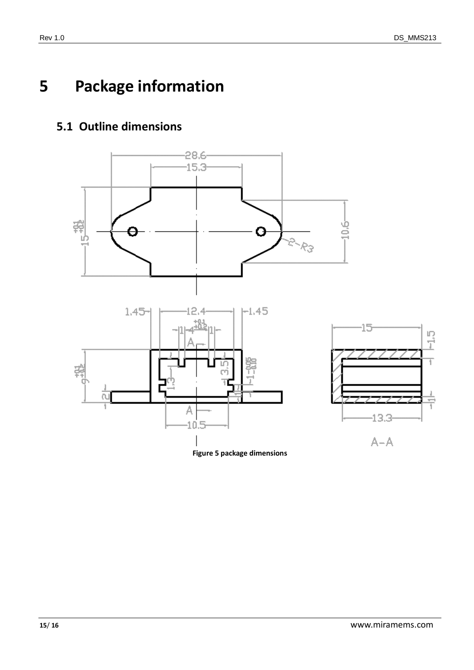# <span id="page-14-0"></span>**5 Package information**

### <span id="page-14-1"></span>**5.1 Outline dimensions**



<span id="page-14-2"></span>**Figure 5 package dimensions**